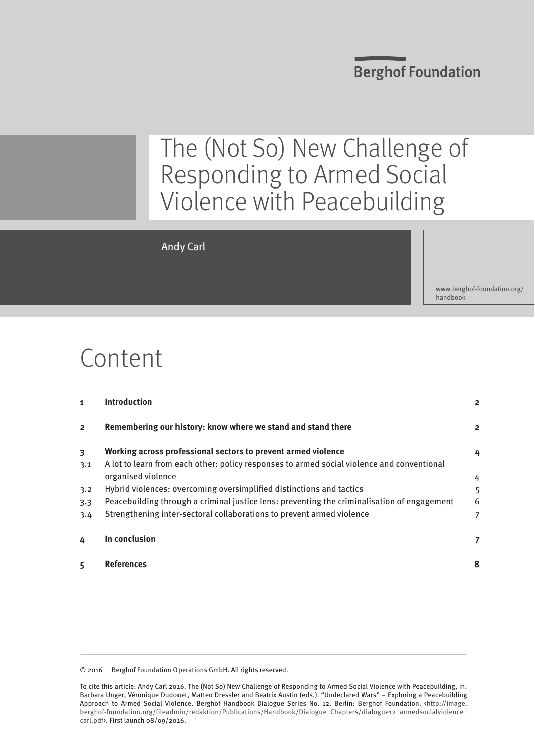## **Berghof Foundation**

# The (Not So) New Challenge of Responding to Armed Social Violence with Peacebuilding

#### Andy Carl

[www.berghof-foundation.org/](www.berghof-foundation.org/handbook) [handbook](www.berghof-foundation.org/handbook)

# Content

| 1                       | <b>Introduction</b>                                                                         | $\overline{2}$ |
|-------------------------|---------------------------------------------------------------------------------------------|----------------|
| $\overline{2}$          | Remembering our history: know where we stand and stand there                                | $\overline{2}$ |
| $\overline{\mathbf{3}}$ | Working across professional sectors to prevent armed violence                               | 4              |
| 3.1                     | A lot to learn from each other: policy responses to armed social violence and conventional  |                |
|                         | organised violence                                                                          | 4              |
| 3.2                     | Hybrid violences: overcoming oversimplified distinctions and tactics                        | 5              |
| 3.3                     | Peacebuilding through a criminal justice lens: preventing the criminalisation of engagement | 6              |
| 3.4                     | Strengthening inter-sectoral collaborations to prevent armed violence                       | 7              |
| 4                       | In conclusion                                                                               | 7              |
| 5                       | References                                                                                  | 8              |

© 2016 Berghof Foundation Operations GmbH. All rights reserved.

To cite this article: Andy Carl 2016. The (Not So) New Challenge of Responding to Armed Social Violence with Peacebuilding, in: Barbara Unger, Véronique Dudouet, Matteo Dressler and Beatrix Austin (eds.). "Undeclared Wars" – Exploring a Peacebuilding Approach to Armed Social Violence. Berghof Handbook Dialogue Series No. 12. Berlin: Berghof Foundation. <[http://image.](http://image.berghof-foundation.org/fileadmin/redaktion/Publications/Handbook/Dialogue_Chapters/dialogue12_armedsocialviolence_lead.pdf) [berghof-foundation.org/fileadmin/redaktion/Publications/Handbook/Dialogue\\_Chapters/dialogue12\\_armedsocialviolence\\_](http://image.berghof-foundation.org/fileadmin/redaktion/Publications/Handbook/Dialogue_Chapters/dialogue12_armedsocialviolence_lead.pdf) [carl.pdf](http://image.berghof-foundation.org/fileadmin/redaktion/Publications/Handbook/Dialogue_Chapters/dialogue12_armedsocialviolence_lead.pdf)>. First launch 08/09/2016.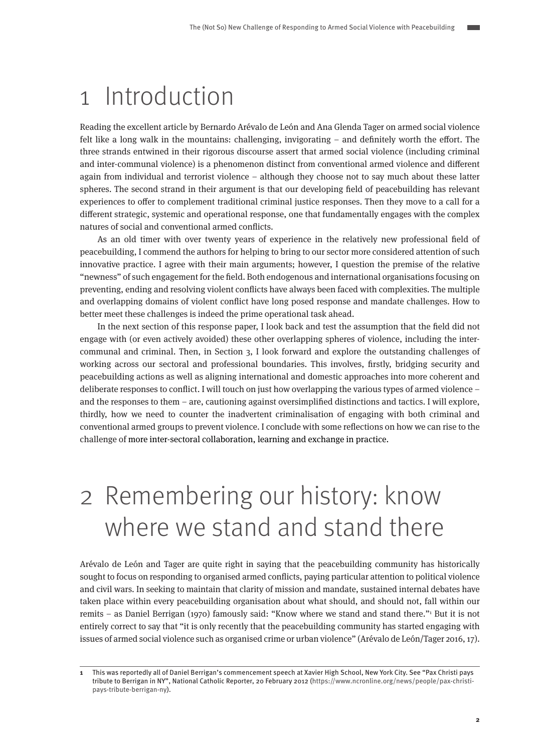## <span id="page-1-0"></span>1 Introduction

Reading the excellent article by Bernardo Arévalo de León and Ana Glenda Tager on armed social violence felt like a long walk in the mountains: challenging, invigorating – and definitely worth the effort. The three strands entwined in their rigorous discourse assert that armed social violence (including criminal and inter-communal violence) is a phenomenon distinct from conventional armed violence and different again from individual and terrorist violence – although they choose not to say much about these latter spheres. The second strand in their argument is that our developing field of peacebuilding has relevant experiences to offer to complement traditional criminal justice responses. Then they move to a call for a different strategic, systemic and operational response, one that fundamentally engages with the complex natures of social and conventional armed conflicts.

As an old timer with over twenty years of experience in the relatively new professional field of peacebuilding, I commend the authors for helping to bring to our sector more considered attention of such innovative practice. I agree with their main arguments; however, I question the premise of the relative "newness" of such engagement for the field. Both endogenous and international organisations focusing on preventing, ending and resolving violent conflicts have always been faced with complexities. The multiple and overlapping domains of violent conflict have long posed response and mandate challenges. How to better meet these challenges is indeed the prime operational task ahead.

In the next section of this response paper, I look back and test the assumption that the field did not engage with (or even actively avoided) these other overlapping spheres of violence, including the intercommunal and criminal. Then, in Section 3, I look forward and explore the outstanding challenges of working across our sectoral and professional boundaries. This involves, firstly, bridging security and peacebuilding actions as well as aligning international and domestic approaches into more coherent and deliberate responses to conflict. I will touch on just how overlapping the various types of armed violence – and the responses to them – are, cautioning against oversimplified distinctions and tactics. I will explore, thirdly, how we need to counter the inadvertent criminalisation of engaging with both criminal and conventional armed groups to prevent violence. I conclude with some reflections on how we can rise to the challenge of more inter-sectoral collaboration, learning and exchange in practice.

# 2 Remembering our history: know where we stand and stand there

Arévalo de León and Tager are quite right in saying that the peacebuilding community has historically sought to focus on responding to organised armed conflicts, paying particular attention to political violence and civil wars. In seeking to maintain that clarity of mission and mandate, sustained internal debates have taken place within every peacebuilding organisation about what should, and should not, fall within our remits – as Daniel Berrigan (1970) famously said: "Know where we stand and stand there." But it is not entirely correct to say that "it is only recently that the peacebuilding community has started engaging with issues of armed social violence such as organised crime or urban violence" (Arévalo de León/Tager 2016, 17).

**<sup>1</sup>** This was reportedly all of Daniel Berrigan's commencement speech at Xavier High School, New York City. See "Pax Christi pays tribute to Berrigan in NY", National Catholic Reporter, 20 February 2012 [\(https://www.ncronline.org/news/people/pax-christi](https://www.ncronline.org/news/people/pax-christi-pays-tribute-berrigan-ny)[pays-tribute-berrigan-ny](https://www.ncronline.org/news/people/pax-christi-pays-tribute-berrigan-ny)).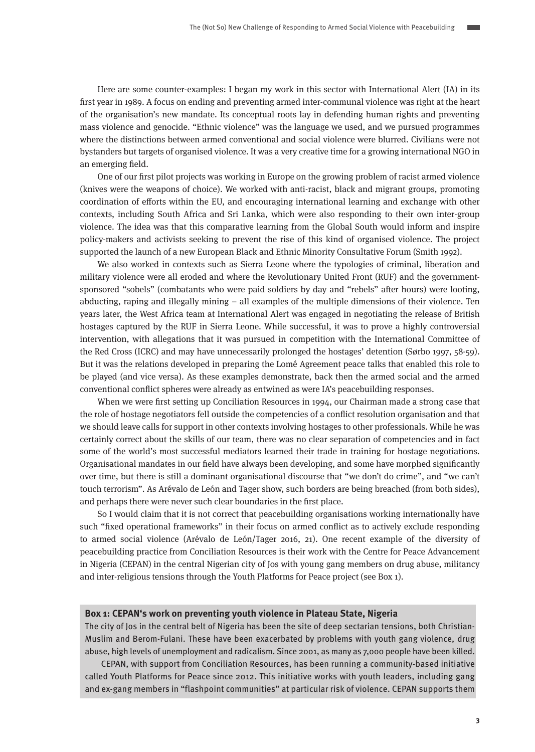Here are some counter-examples: I began my work in this sector with International Alert (IA) in its first year in 1989. A focus on ending and preventing armed inter-communal violence was right at the heart of the organisation's new mandate. Its conceptual roots lay in defending human rights and preventing mass violence and genocide. "Ethnic violence" was the language we used, and we pursued programmes where the distinctions between armed conventional and social violence were blurred. Civilians were not bystanders but targets of organised violence. It was a very creative time for a growing international NGO in an emerging field.

One of our first pilot projects was working in Europe on the growing problem of racist armed violence (knives were the weapons of choice). We worked with anti-racist, black and migrant groups, promoting coordination of efforts within the EU, and encouraging international learning and exchange with other contexts, including South Africa and Sri Lanka, which were also responding to their own inter-group violence. The idea was that this comparative learning from the Global South would inform and inspire policy-makers and activists seeking to prevent the rise of this kind of organised violence. The project supported the launch of a new European Black and Ethnic Minority Consultative Forum (Smith 1992).

We also worked in contexts such as Sierra Leone where the typologies of criminal, liberation and military violence were all eroded and where the Revolutionary United Front (RUF) and the governmentsponsored "sobels" (combatants who were paid soldiers by day and "rebels" after hours) were looting, abducting, raping and illegally mining – all examples of the multiple dimensions of their violence. Ten years later, the West Africa team at International Alert was engaged in negotiating the release of British hostages captured by the RUF in Sierra Leone. While successful, it was to prove a highly controversial intervention, with allegations that it was pursued in competition with the International Committee of the Red Cross (ICRC) and may have unnecessarily prolonged the hostages' detention (Sørbo 1997, 58-59). But it was the relations developed in preparing the Lomé Agreement peace talks that enabled this role to be played (and vice versa). As these examples demonstrate, back then the armed social and the armed conventional conflict spheres were already as entwined as were IA's peacebuilding responses.

When we were first setting up Conciliation Resources in 1994, our Chairman made a strong case that the role of hostage negotiators fell outside the competencies of a conflict resolution organisation and that we should leave calls for support in other contexts involving hostages to other professionals. While he was certainly correct about the skills of our team, there was no clear separation of competencies and in fact some of the world's most successful mediators learned their trade in training for hostage negotiations. Organisational mandates in our field have always been developing, and some have morphed significantly over time, but there is still a dominant organisational discourse that "we don't do crime", and "we can't touch terrorism". As Arévalo de León and Tager show, such borders are being breached (from both sides), and perhaps there were never such clear boundaries in the first place.

So I would claim that it is not correct that peacebuilding organisations working internationally have such "fixed operational frameworks" in their focus on armed conflict as to actively exclude responding to armed social violence (Arévalo de León/Tager 2016, 21). One recent example of the diversity of peacebuilding practice from Conciliation Resources is their work with the Centre for Peace Advancement in Nigeria (CEPAN) in the central Nigerian city of Jos with young gang members on drug abuse, militancy and inter-religious tensions through the Youth Platforms for Peace project (see Box 1).

#### **Box 1: CEPAN's work on preventing youth violence in Plateau State, Nigeria**

The city of Jos in the central belt of Nigeria has been the site of deep sectarian tensions, both Christian-Muslim and Berom-Fulani. These have been exacerbated by problems with youth gang violence, drug abuse, high levels of unemployment and radicalism. Since 2001, as many as 7,000 people have been killed.

CEPAN, with support from Conciliation Resources, has been running a community-based initiative called Youth Platforms for Peace since 2012. This initiative works with youth leaders, including gang and ex-gang members in "flashpoint communities" at particular risk of violence. CEPAN supports them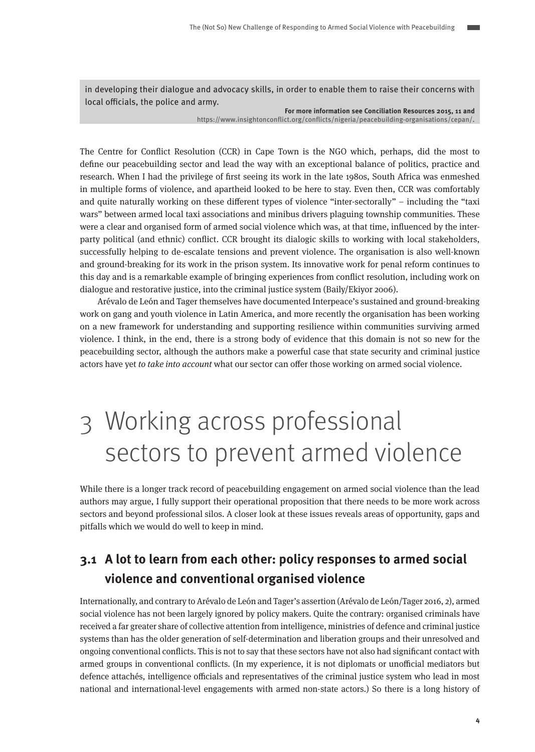<span id="page-3-0"></span>in developing their dialogue and advocacy skills, in order to enable them to raise their concerns with local officials, the police and army.

> **For more information see Conciliation Resources 2015, 11 and**  <https://www.insightonconflict.org/conflicts/nigeria/peacebuilding-organisations/cepan/>.

The Centre for Conflict Resolution (CCR) in Cape Town is the NGO which, perhaps, did the most to define our peacebuilding sector and lead the way with an exceptional balance of politics, practice and research. When I had the privilege of first seeing its work in the late 1980s, South Africa was enmeshed in multiple forms of violence, and apartheid looked to be here to stay. Even then, CCR was comfortably and quite naturally working on these different types of violence "inter-sectorally" – including the "taxi wars" between armed local taxi associations and minibus drivers plaguing township communities. These were a clear and organised form of armed social violence which was, at that time, influenced by the interparty political (and ethnic) conflict. CCR brought its dialogic skills to working with local stakeholders, successfully helping to de-escalate tensions and prevent violence. The organisation is also well-known and ground-breaking for its work in the prison system. Its innovative work for penal reform continues to this day and is a remarkable example of bringing experiences from conflict resolution, including work on dialogue and restorative justice, into the criminal justice system (Baily/Ekiyor 2006).

Arévalo de León and Tager themselves have documented Interpeace's sustained and ground-breaking work on gang and youth violence in Latin America, and more recently the organisation has been working on a new framework for understanding and supporting resilience within communities surviving armed violence. I think, in the end, there is a strong body of evidence that this domain is not so new for the peacebuilding sector, although the authors make a powerful case that state security and criminal justice actors have yet to take into account what our sector can offer those working on armed social violence.

# 3 Working across professional sectors to prevent armed violence

While there is a longer track record of peacebuilding engagement on armed social violence than the lead authors may argue, I fully support their operational proposition that there needs to be more work across sectors and beyond professional silos. A closer look at these issues reveals areas of opportunity, gaps and pitfalls which we would do well to keep in mind.

## **3.1 A lot to learn from each other: policy responses to armed social violence and conventional organised violence**

Internationally, and contrary to Arévalo de León and Tager's assertion (Arévalo de León/Tager 2016, 2), armed social violence has not been largely ignored by policy makers. Quite the contrary: organised criminals have received a far greater share of collective attention from intelligence, ministries of defence and criminal justice systems than has the older generation of self-determination and liberation groups and their unresolved and ongoing conventional conflicts. This is not to say that these sectors have not also had significant contact with armed groups in conventional conflicts. (In my experience, it is not diplomats or unofficial mediators but defence attachés, intelligence officials and representatives of the criminal justice system who lead in most national and international-level engagements with armed non-state actors.) So there is a long history of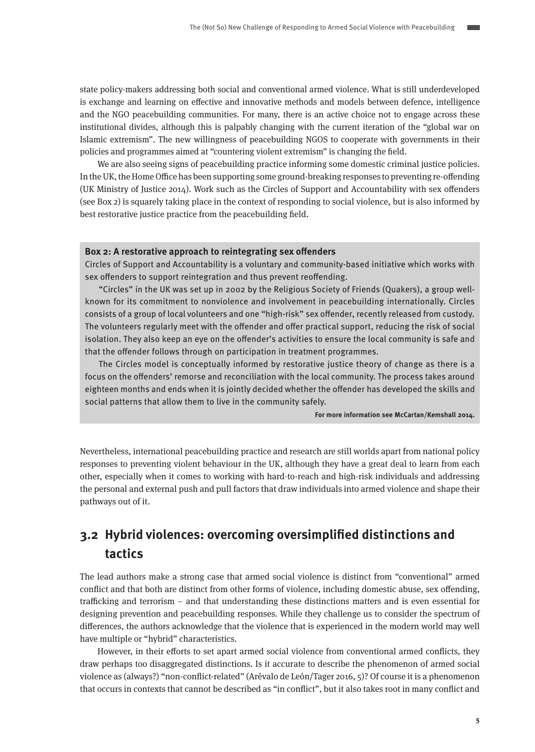<span id="page-4-0"></span>state policy-makers addressing both social and conventional armed violence. What is still underdeveloped is exchange and learning on effective and innovative methods and models between defence, intelligence and the NGO peacebuilding communities. For many, there is an active choice not to engage across these institutional divides, although this is palpably changing with the current iteration of the "global war on Islamic extremism". The new willingness of peacebuilding NGOS to cooperate with governments in their policies and programmes aimed at "countering violent extremism" is changing the field.

We are also seeing signs of peacebuilding practice informing some domestic criminal justice policies. In the UK, the Home Office has been supporting some ground-breaking responses to preventing re-offending (UK Ministry of Justice 2014). Work such as the Circles of Support and Accountability with sex offenders (see Box 2) is squarely taking place in the context of responding to social violence, but is also informed by best restorative justice practice from the peacebuilding field.

#### **Box 2: A restorative approach to reintegrating sex offenders**

Circles of Support and Accountability is a voluntary and community-based initiative which works with sex offenders to support reintegration and thus prevent reoffending.

"Circles" in the UK was set up in 2002 by the Religious Society of Friends (Quakers), a group wellknown for its commitment to nonviolence and involvement in peacebuilding internationally. Circles consists of a group of local volunteers and one "high-risk" sex offender, recently released from custody. The volunteers regularly meet with the offender and offer practical support, reducing the risk of social isolation. They also keep an eye on the offender's activities to ensure the local community is safe and that the offender follows through on participation in treatment programmes.

The Circles model is conceptually informed by restorative justice theory of change as there is a focus on the offenders' remorse and reconciliation with the local community. The process takes around eighteen months and ends when it is jointly decided whether the offender has developed the skills and social patterns that allow them to live in the community safely.

**For more information see McCartan/Kemshall 2014.**

Nevertheless, international peacebuilding practice and research are still worlds apart from national policy responses to preventing violent behaviour in the UK, although they have a great deal to learn from each other, especially when it comes to working with hard-to-reach and high-risk individuals and addressing the personal and external push and pull factors that draw individuals into armed violence and shape their pathways out of it.

### **3.2 Hybrid violences: overcoming oversimplified distinctions and tactics**

The lead authors make a strong case that armed social violence is distinct from "conventional" armed conflict and that both are distinct from other forms of violence, including domestic abuse, sex offending, trafficking and terrorism – and that understanding these distinctions matters and is even essential for designing prevention and peacebuilding responses. While they challenge us to consider the spectrum of differences, the authors acknowledge that the violence that is experienced in the modern world may well have multiple or "hybrid" characteristics.

However, in their efforts to set apart armed social violence from conventional armed conflicts, they draw perhaps too disaggregated distinctions. Is it accurate to describe the phenomenon of armed social violence as (always?) "non-conflict-related" (Arévalo de León/Tager 2016, 5)? Of course it is a phenomenon that occurs in contexts that cannot be described as "in conflict", but it also takes root in many conflict and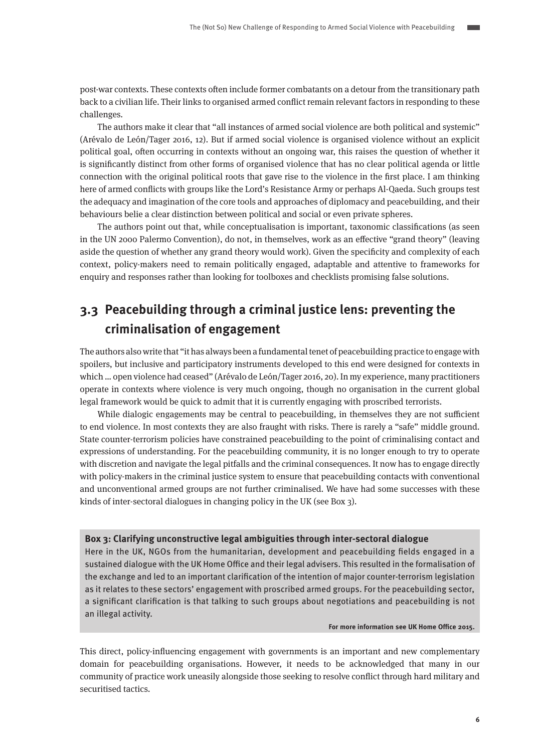<span id="page-5-0"></span>post-war contexts. These contexts often include former combatants on a detour from the transitionary path back to a civilian life. Their links to organised armed conflict remain relevant factors in responding to these challenges.

The authors make it clear that "all instances of armed social violence are both political and systemic" (Arévalo de León/Tager 2016, 12). But if armed social violence is organised violence without an explicit political goal, often occurring in contexts without an ongoing war, this raises the question of whether it is significantly distinct from other forms of organised violence that has no clear political agenda or little connection with the original political roots that gave rise to the violence in the first place. I am thinking here of armed conflicts with groups like the Lord's Resistance Army or perhaps Al-Qaeda. Such groups test the adequacy and imagination of the core tools and approaches of diplomacy and peacebuilding, and their behaviours belie a clear distinction between political and social or even private spheres.

The authors point out that, while conceptualisation is important, taxonomic classifications (as seen in the UN 2000 Palermo Convention), do not, in themselves, work as an effective "grand theory" (leaving aside the question of whether any grand theory would work). Given the specificity and complexity of each context, policy-makers need to remain politically engaged, adaptable and attentive to frameworks for enquiry and responses rather than looking for toolboxes and checklists promising false solutions.

## **3.3 Peacebuilding through a criminal justice lens: preventing the criminalisation of engagement**

The authors also write that "it has always been a fundamental tenet of peacebuilding practice to engage with spoilers, but inclusive and participatory instruments developed to this end were designed for contexts in which … open violence had ceased" (Arévalo de León/Tager 2016, 20). In my experience, many practitioners operate in contexts where violence is very much ongoing, though no organisation in the current global legal framework would be quick to admit that it is currently engaging with proscribed terrorists.

While dialogic engagements may be central to peacebuilding, in themselves they are not sufficient to end violence. In most contexts they are also fraught with risks. There is rarely a "safe" middle ground. State counter-terrorism policies have constrained peacebuilding to the point of criminalising contact and expressions of understanding. For the peacebuilding community, it is no longer enough to try to operate with discretion and navigate the legal pitfalls and the criminal consequences. It now has to engage directly with policy-makers in the criminal justice system to ensure that peacebuilding contacts with conventional and unconventional armed groups are not further criminalised. We have had some successes with these kinds of inter-sectoral dialogues in changing policy in the UK (see Box 3).

#### **Box 3: Clarifying unconstructive legal ambiguities through inter-sectoral dialogue**

Here in the UK, NGOs from the humanitarian, development and peacebuilding fields engaged in a sustained dialogue with the UK Home Office and their legal advisers. This resulted in the formalisation of the exchange and led to an important clarification of the intention of major counter-terrorism legislation as it relates to these sectors' engagement with proscribed armed groups. For the peacebuilding sector, a significant clarification is that talking to such groups about negotiations and peacebuilding is not an illegal activity.

#### **For more information see UK Home Office 2015.**

This direct, policy-influencing engagement with governments is an important and new complementary domain for peacebuilding organisations. However, it needs to be acknowledged that many in our community of practice work uneasily alongside those seeking to resolve conflict through hard military and securitised tactics.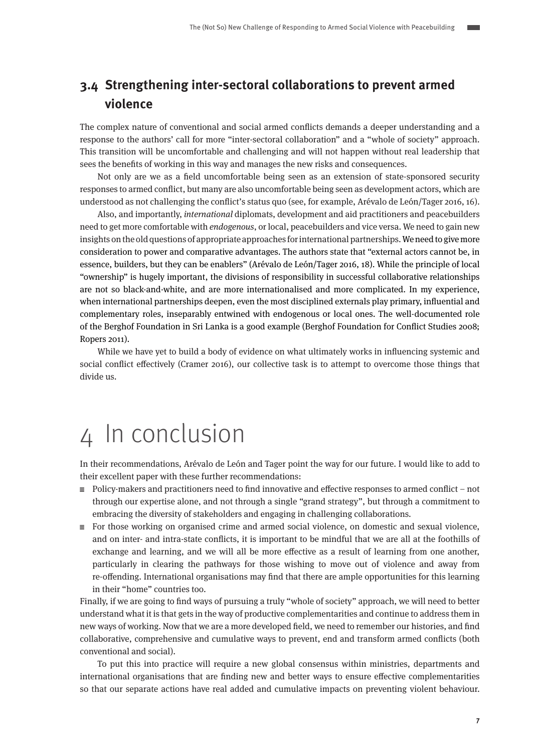### <span id="page-6-0"></span>**3.4 Strengthening inter-sectoral collaborations to prevent armed violence**

The complex nature of conventional and social armed conflicts demands a deeper understanding and a response to the authors' call for more "inter-sectoral collaboration" and a "whole of society" approach. This transition will be uncomfortable and challenging and will not happen without real leadership that sees the benefits of working in this way and manages the new risks and consequences.

Not only are we as a field uncomfortable being seen as an extension of state-sponsored security responses to armed conflict, but many are also uncomfortable being seen as development actors, which are understood as not challenging the conflict's status quo (see, for example, Arévalo de León/Tager 2016, 16).

Also, and importantly, international diplomats, development and aid practitioners and peacebuilders need to get more comfortable with endogenous, or local, peacebuilders and vice versa. We need to gain new insights on the old questions of appropriate approaches for international partnerships. We need to give more consideration to power and comparative advantages. The authors state that "external actors cannot be, in essence, builders, but they can be enablers" (Arévalo de León/Tager 2016, 18). While the principle of local "ownership" is hugely important, the divisions of responsibility in successful collaborative relationships are not so black-and-white, and are more internationalised and more complicated. In my experience, when international partnerships deepen, even the most disciplined externals play primary, influential and complementary roles, inseparably entwined with endogenous or local ones. The well-documented role of the Berghof Foundation in Sri Lanka is a good example (Berghof Foundation for Conflict Studies 2008; Ropers 2011).

While we have yet to build a body of evidence on what ultimately works in influencing systemic and social conflict effectively (Cramer 2016), our collective task is to attempt to overcome those things that divide us.

# 4 In conclusion

In their recommendations, Arévalo de León and Tager point the way for our future. I would like to add to their excellent paper with these further recommendations:

- $\equiv$  Policy-makers and practitioners need to find innovative and effective responses to armed conflict not through our expertise alone, and not through a single "grand strategy", but through a commitment to embracing the diversity of stakeholders and engaging in challenging collaborations.
- $\equiv$  For those working on organised crime and armed social violence, on domestic and sexual violence, and on inter- and intra-state conflicts, it is important to be mindful that we are all at the foothills of exchange and learning, and we will all be more effective as a result of learning from one another, particularly in clearing the pathways for those wishing to move out of violence and away from re-offending. International organisations may find that there are ample opportunities for this learning in their "home" countries too.

Finally, if we are going to find ways of pursuing a truly "whole of society" approach, we will need to better understand what it is that gets in the way of productive complementarities and continue to address them in new ways of working. Now that we are a more developed field, we need to remember our histories, and find collaborative, comprehensive and cumulative ways to prevent, end and transform armed conflicts (both conventional and social).

To put this into practice will require a new global consensus within ministries, departments and international organisations that are finding new and better ways to ensure effective complementarities so that our separate actions have real added and cumulative impacts on preventing violent behaviour.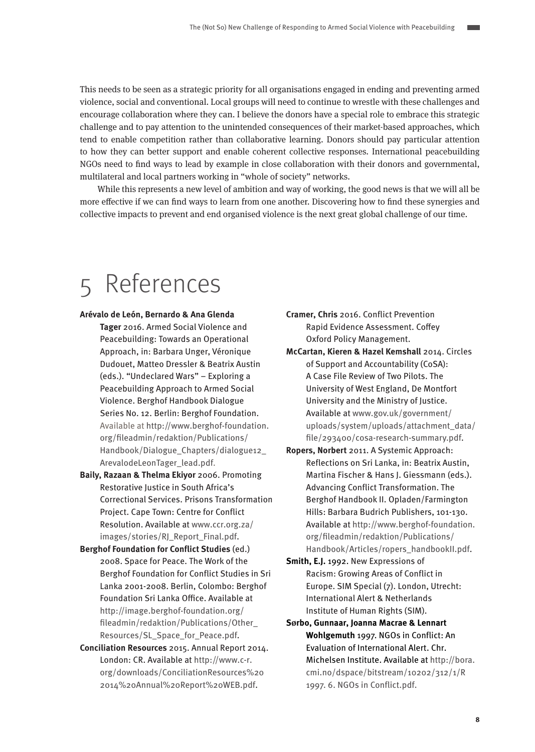<span id="page-7-0"></span>This needs to be seen as a strategic priority for all organisations engaged in ending and preventing armed violence, social and conventional. Local groups will need to continue to wrestle with these challenges and encourage collaboration where they can. I believe the donors have a special role to embrace this strategic challenge and to pay attention to the unintended consequences of their market-based approaches, which tend to enable competition rather than collaborative learning. Donors should pay particular attention to how they can better support and enable coherent collective responses. International peacebuilding NGOs need to find ways to lead by example in close collaboration with their donors and governmental, multilateral and local partners working in "whole of society" networks.

While this represents a new level of ambition and way of working, the good news is that we will all be more effective if we can find ways to learn from one another. Discovering how to find these synergies and collective impacts to prevent and end organised violence is the next great global challenge of our time.

# 5 References

- **Arévalo de León, Bernardo & Ana Glenda** 
	- **Tager** 2016. Armed Social Violence and Peacebuilding: Towards an Operational Approach, in: Barbara Unger, Véronique Dudouet, Matteo Dressler & Beatrix Austin (eds.). "Undeclared Wars" – Exploring a Peacebuilding Approach to Armed Social Violence. Berghof Handbook Dialogue Series No. 12. Berlin: Berghof Foundation. Available at [http://www.berghof-foundation.](http://www.berghof-foundation.org/fileadmin/redaktion/Publications/Handbook/Dialogue_Chapters/dialogue12_ArevalodeLeonTager_lead.pdf) [org/fileadmin/redaktion/Publications/](http://www.berghof-foundation.org/fileadmin/redaktion/Publications/Handbook/Dialogue_Chapters/dialogue12_ArevalodeLeonTager_lead.pdf) [Handbook/Dialogue\\_Chapters/dialogue12\\_](http://www.berghof-foundation.org/fileadmin/redaktion/Publications/Handbook/Dialogue_Chapters/dialogue12_ArevalodeLeonTager_lead.pdf) [ArevalodeLeonTager\\_lead.pdf.](http://www.berghof-foundation.org/fileadmin/redaktion/Publications/Handbook/Dialogue_Chapters/dialogue12_ArevalodeLeonTager_lead.pdf)
- **Baily, Razaan & Thelma Ekiyor** 2006. Promoting Restorative Justice in South Africa's Correctional Services. Prisons Transformation Project. Cape Town: Centre for Conflict Resolution. Available at [www.ccr.org.za/](http://www.ccr.org.za/images/stories/RJ_Report_Final.pdf) [images/stories/RJ\\_Report\\_Final.pdf.](http://www.ccr.org.za/images/stories/RJ_Report_Final.pdf)
- **Berghof Foundation for Conflict Studies** (ed.) 2008. Space for Peace. The Work of the Berghof Foundation for Conflict Studies in Sri Lanka 2001-2008. Berlin, Colombo: Berghof Foundation Sri Lanka Office. Available at [http://image.berghof-foundation.org/](http://image.berghof-foundation.org/fileadmin/redaktion/Publications/Other_Resources/SL_Space_for_Peace.pdf) [fileadmin/redaktion/Publications/Other\\_](http://image.berghof-foundation.org/fileadmin/redaktion/Publications/Other_Resources/SL_Space_for_Peace.pdf) [Resources/SL\\_Space\\_for\\_Peace.pdf.](http://image.berghof-foundation.org/fileadmin/redaktion/Publications/Other_Resources/SL_Space_for_Peace.pdf)
- **Conciliation Resources** 2015. Annual Report 2014. London: CR. Available at [http://www.c-r.](http://www.c-r.org/downloads/ConciliationResources%202014%20Annual%20Report%20WEB.pdf) [org/downloads/ConciliationResources%20](http://www.c-r.org/downloads/ConciliationResources%202014%20Annual%20Report%20WEB.pdf) [2014%20Annual%20Report%20WEB.pdf.](http://www.c-r.org/downloads/ConciliationResources%202014%20Annual%20Report%20WEB.pdf)
- **Cramer, Chris** 2016. Conflict Prevention Rapid Evidence Assessment. Coffey Oxford Policy Management.
- **McCartan, Kieren & Hazel Kemshall** 2014. Circles of Support and Accountability (CoSA): A Case File Review of Two Pilots. The University of West England, De Montfort University and the Ministry of Justice. Available at [www.gov.uk/government/](http://www.gov.uk/government/uploads/system/uploads/attachment_data/file/293400/cosa-research-summary.pdf) [uploads/system/uploads/attachment\\_data/](http://www.gov.uk/government/uploads/system/uploads/attachment_data/file/293400/cosa-research-summary.pdf) [file/293400/cosa-research-summary.pdf](http://www.gov.uk/government/uploads/system/uploads/attachment_data/file/293400/cosa-research-summary.pdf).
- **Ropers, Norbert** 2011. A Systemic Approach: Reflections on Sri Lanka, in: Beatrix Austin, Martina Fischer & Hans J. Giessmann (eds.). Advancing Conflict Transformation. The Berghof Handbook II. Opladen/Farmington Hills: Barbara Budrich Publishers, 101-130. Available at [http://www.berghof-foundation.](http://www.berghof-foundation.org/fileadmin/redaktion/Publications/Handbook/Articles/ropers_handbookII.pdf) [org/fileadmin/redaktion/Publications/](http://www.berghof-foundation.org/fileadmin/redaktion/Publications/Handbook/Articles/ropers_handbookII.pdf) [Handbook/Articles/ropers\\_handbookII.pdf.](http://www.berghof-foundation.org/fileadmin/redaktion/Publications/Handbook/Articles/ropers_handbookII.pdf)
- **Smith, E.J.** 1992. New Expressions of Racism: Growing Areas of Conflict in Europe. SIM Special (7). London, Utrecht: International Alert & Netherlands Institute of Human Rights (SIM).
- **Sørbo, Gunnaar, Joanna Macrae & Lennart Wohlgemuth** 1997. NGOs in Conflict: An Evaluation of International Alert. Chr. Michelsen Institute. Available at [http://bora.](http://bora.cmi.no/dspace/bitstream/10202/312/1/R%201997.%206.%20NGOs%20in%20Conflict.pdf) [cmi.no/dspace/bitstream/10202/312/1/R](http://bora.cmi.no/dspace/bitstream/10202/312/1/R%201997.%206.%20NGOs%20in%20Conflict.pdf)  [1997. 6. NGOs in Conflict.pdf](http://bora.cmi.no/dspace/bitstream/10202/312/1/R%201997.%206.%20NGOs%20in%20Conflict.pdf).